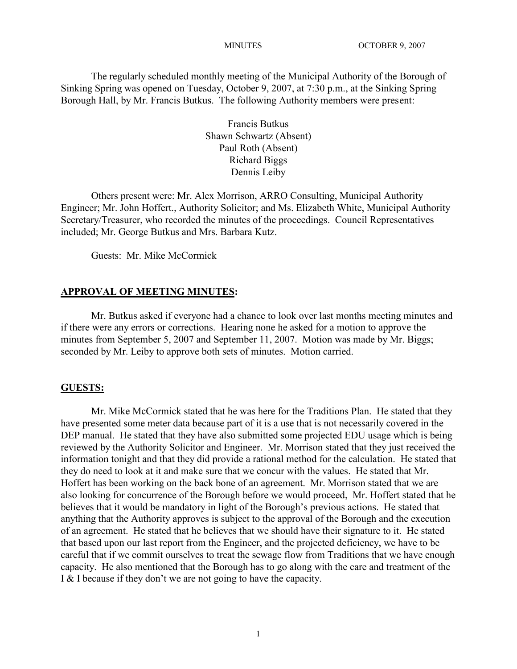The regularly scheduled monthly meeting of the Municipal Authority of the Borough of Sinking Spring was opened on Tuesday, October 9, 2007, at 7:30 p.m., at the Sinking Spring Borough Hall, by Mr. Francis Butkus. The following Authority members were present:

> Francis Butkus Shawn Schwartz (Absent) Paul Roth (Absent) Richard Biggs Dennis Leiby

Others present were: Mr. Alex Morrison, ARRO Consulting, Municipal Authority Engineer; Mr. John Hoffert., Authority Solicitor; and Ms. Elizabeth White, Municipal Authority Secretary/Treasurer, who recorded the minutes of the proceedings. Council Representatives included; Mr. George Butkus and Mrs. Barbara Kutz.

Guests: Mr. Mike McCormick

#### **APPROVAL OF MEETING MINUTES:**

Mr. Butkus asked if everyone had a chance to look over last months meeting minutes and if there were any errors or corrections. Hearing none he asked for a motion to approve the minutes from September 5, 2007 and September 11, 2007. Motion was made by Mr. Biggs; seconded by Mr. Leiby to approve both sets of minutes. Motion carried.

#### **GUESTS:**

Mr. Mike McCormick stated that he was here for the Traditions Plan. He stated that they have presented some meter data because part of it is a use that is not necessarily covered in the DEP manual. He stated that they have also submitted some projected EDU usage which is being reviewed by the Authority Solicitor and Engineer. Mr. Morrison stated that they just received the information tonight and that they did provide a rational method for the calculation. He stated that they do need to look at it and make sure that we concur with the values. He stated that Mr. Hoffert has been working on the back bone of an agreement. Mr. Morrison stated that we are also looking for concurrence of the Borough before we would proceed, Mr. Hoffert stated that he believes that it would be mandatory in light of the Borough's previous actions. He stated that anything that the Authority approves is subject to the approval of the Borough and the execution of an agreement. He stated that he believes that we should have their signature to it. He stated that based upon our last report from the Engineer, and the projected deficiency, we have to be careful that if we commit ourselves to treat the sewage flow from Traditions that we have enough capacity. He also mentioned that the Borough has to go along with the care and treatment of the I & I because if they don't we are not going to have the capacity.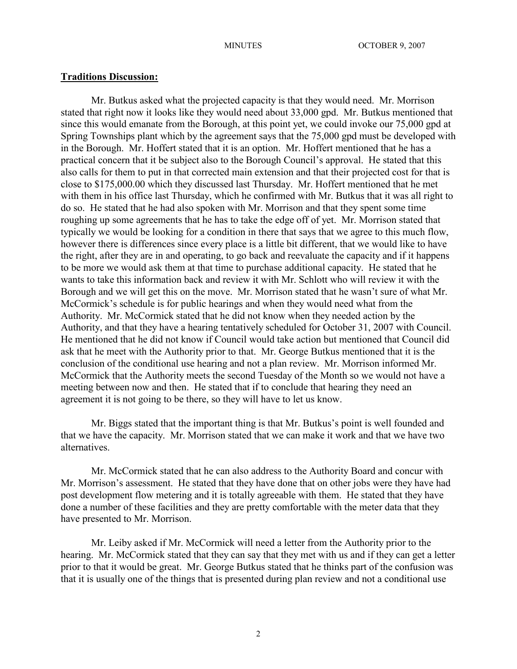#### **Traditions Discussion:**

Mr. Butkus asked what the projected capacity is that they would need. Mr. Morrison stated that right now it looks like they would need about 33,000 gpd. Mr. Butkus mentioned that since this would emanate from the Borough, at this point yet, we could invoke our 75,000 gpd at Spring Townships plant which by the agreement says that the 75,000 gpd must be developed with in the Borough. Mr. Hoffert stated that it is an option. Mr. Hoffert mentioned that he has a practical concern that it be subject also to the Borough Council's approval. He stated that this also calls for them to put in that corrected main extension and that their projected cost for that is close to \$175,000.00 which they discussed last Thursday. Mr. Hoffert mentioned that he met with them in his office last Thursday, which he confirmed with Mr. Butkus that it was all right to do so. He stated that he had also spoken with Mr. Morrison and that they spent some time roughing up some agreements that he has to take the edge off of yet. Mr. Morrison stated that typically we would be looking for a condition in there that says that we agree to this much flow, however there is differences since every place is a little bit different, that we would like to have the right, after they are in and operating, to go back and reevaluate the capacity and if it happens to be more we would ask them at that time to purchase additional capacity. He stated that he wants to take this information back and review it with Mr. Schlott who will review it with the Borough and we will get this on the move. Mr. Morrison stated that he wasn't sure of what Mr. McCormick's schedule is for public hearings and when they would need what from the Authority. Mr. McCormick stated that he did not know when they needed action by the Authority, and that they have a hearing tentatively scheduled for October 31, 2007 with Council. He mentioned that he did not know if Council would take action but mentioned that Council did ask that he meet with the Authority prior to that. Mr. George Butkus mentioned that it is the conclusion of the conditional use hearing and not a plan review. Mr. Morrison informed Mr. McCormick that the Authority meets the second Tuesday of the Month so we would not have a meeting between now and then. He stated that if to conclude that hearing they need an agreement it is not going to be there, so they will have to let us know.

Mr. Biggs stated that the important thing is that Mr. Butkus's point is well founded and that we have the capacity. Mr. Morrison stated that we can make it work and that we have two alternatives.

Mr. McCormick stated that he can also address to the Authority Board and concur with Mr. Morrison's assessment. He stated that they have done that on other jobs were they have had post development flow metering and it is totally agreeable with them. He stated that they have done a number of these facilities and they are pretty comfortable with the meter data that they have presented to Mr. Morrison.

Mr. Leiby asked if Mr. McCormick will need a letter from the Authority prior to the hearing. Mr. McCormick stated that they can say that they met with us and if they can get a letter prior to that it would be great. Mr. George Butkus stated that he thinks part of the confusion was that it is usually one of the things that is presented during plan review and not a conditional use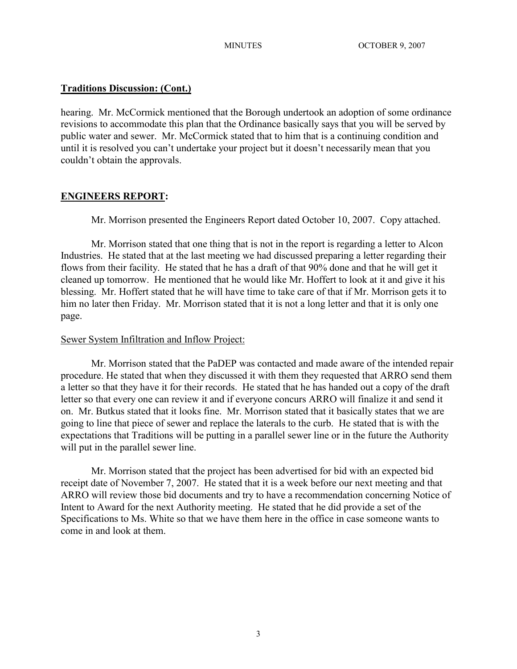## **Traditions Discussion: (Cont.)**

hearing. Mr. McCormick mentioned that the Borough undertook an adoption of some ordinance revisions to accommodate this plan that the Ordinance basically says that you will be served by public water and sewer. Mr. McCormick stated that to him that is a continuing condition and until it is resolved you can't undertake your project but it doesn't necessarily mean that you couldn't obtain the approvals.

## **ENGINEERS REPORT:**

Mr. Morrison presented the Engineers Report dated October 10, 2007. Copy attached.

Mr. Morrison stated that one thing that is not in the report is regarding a letter to Alcon Industries. He stated that at the last meeting we had discussed preparing a letter regarding their flows from their facility. He stated that he has a draft of that 90% done and that he will get it cleaned up tomorrow. He mentioned that he would like Mr. Hoffert to look at it and give it his blessing. Mr. Hoffert stated that he will have time to take care of that if Mr. Morrison gets it to him no later then Friday. Mr. Morrison stated that it is not a long letter and that it is only one page.

## Sewer System Infiltration and Inflow Project:

Mr. Morrison stated that the PaDEP was contacted and made aware of the intended repair procedure. He stated that when they discussed it with them they requested that ARRO send them a letter so that they have it for their records. He stated that he has handed out a copy of the draft letter so that every one can review it and if everyone concurs ARRO will finalize it and send it on. Mr. Butkus stated that it looks fine. Mr. Morrison stated that it basically states that we are going to line that piece of sewer and replace the laterals to the curb. He stated that is with the expectations that Traditions will be putting in a parallel sewer line or in the future the Authority will put in the parallel sewer line.

Mr. Morrison stated that the project has been advertised for bid with an expected bid receipt date of November 7, 2007. He stated that it is a week before our next meeting and that ARRO will review those bid documents and try to have a recommendation concerning Notice of Intent to Award for the next Authority meeting. He stated that he did provide a set of the Specifications to Ms. White so that we have them here in the office in case someone wants to come in and look at them.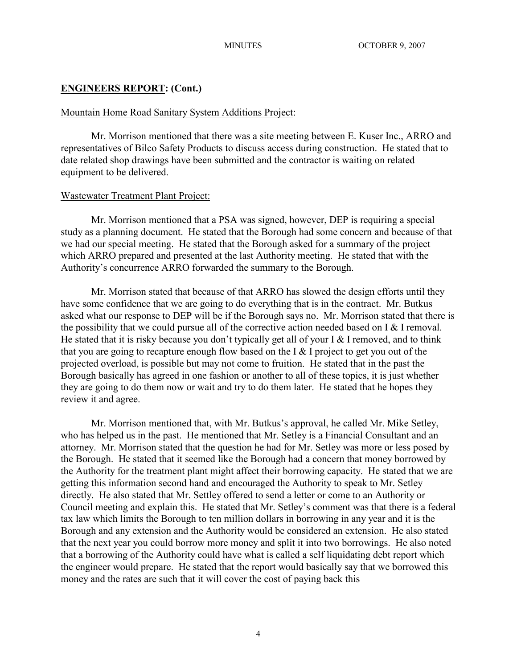## **ENGINEERS REPORT: (Cont.)**

## Mountain Home Road Sanitary System Additions Project:

Mr. Morrison mentioned that there was a site meeting between E. Kuser Inc., ARRO and representatives of Bilco Safety Products to discuss access during construction. He stated that to date related shop drawings have been submitted and the contractor is waiting on related equipment to be delivered.

## Wastewater Treatment Plant Project:

Mr. Morrison mentioned that a PSA was signed, however, DEP is requiring a special study as a planning document. He stated that the Borough had some concern and because of that we had our special meeting. He stated that the Borough asked for a summary of the project which ARRO prepared and presented at the last Authority meeting. He stated that with the Authority's concurrence ARRO forwarded the summary to the Borough.

Mr. Morrison stated that because of that ARRO has slowed the design efforts until they have some confidence that we are going to do everything that is in the contract. Mr. Butkus asked what our response to DEP will be if the Borough says no. Mr. Morrison stated that there is the possibility that we could pursue all of the corrective action needed based on I & I removal. He stated that it is risky because you don't typically get all of your I  $&$  I removed, and to think that you are going to recapture enough flow based on the I & I project to get you out of the projected overload, is possible but may not come to fruition. He stated that in the past the Borough basically has agreed in one fashion or another to all of these topics, it is just whether they are going to do them now or wait and try to do them later. He stated that he hopes they review it and agree.

Mr. Morrison mentioned that, with Mr. Butkus's approval, he called Mr. Mike Setley, who has helped us in the past. He mentioned that Mr. Setley is a Financial Consultant and an attorney. Mr. Morrison stated that the question he had for Mr. Setley was more or less posed by the Borough. He stated that it seemed like the Borough had a concern that money borrowed by the Authority for the treatment plant might affect their borrowing capacity. He stated that we are getting this information second hand and encouraged the Authority to speak to Mr. Setley directly. He also stated that Mr. Settley offered to send a letter or come to an Authority or Council meeting and explain this. He stated that Mr. Setley's comment was that there is a federal tax law which limits the Borough to ten million dollars in borrowing in any year and it is the Borough and any extension and the Authority would be considered an extension. He also stated that the next year you could borrow more money and split it into two borrowings. He also noted that a borrowing of the Authority could have what is called a self liquidating debt report which the engineer would prepare. He stated that the report would basically say that we borrowed this money and the rates are such that it will cover the cost of paying back this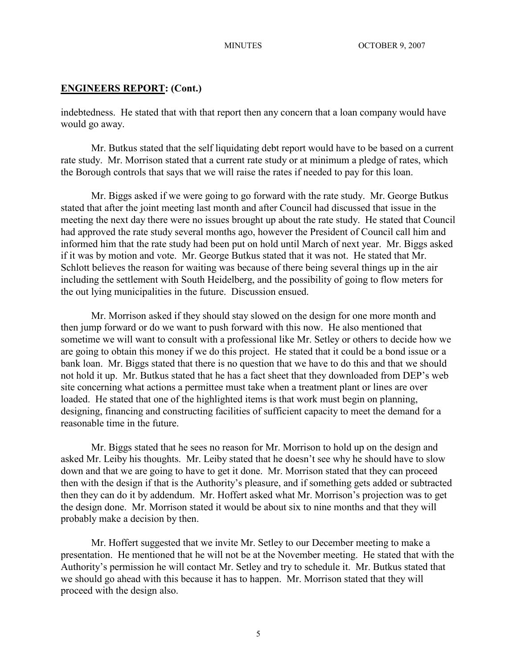### **ENGINEERS REPORT: (Cont.)**

indebtedness. He stated that with that report then any concern that a loan company would have would go away.

Mr. Butkus stated that the self liquidating debt report would have to be based on a current rate study. Mr. Morrison stated that a current rate study or at minimum a pledge of rates, which the Borough controls that says that we will raise the rates if needed to pay for this loan.

Mr. Biggs asked if we were going to go forward with the rate study. Mr. George Butkus stated that after the joint meeting last month and after Council had discussed that issue in the meeting the next day there were no issues brought up about the rate study. He stated that Council had approved the rate study several months ago, however the President of Council call him and informed him that the rate study had been put on hold until March of next year. Mr. Biggs asked if it was by motion and vote. Mr. George Butkus stated that it was not. He stated that Mr. Schlott believes the reason for waiting was because of there being several things up in the air including the settlement with South Heidelberg, and the possibility of going to flow meters for the out lying municipalities in the future. Discussion ensued.

Mr. Morrison asked if they should stay slowed on the design for one more month and then jump forward or do we want to push forward with this now. He also mentioned that sometime we will want to consult with a professional like Mr. Setley or others to decide how we are going to obtain this money if we do this project. He stated that it could be a bond issue or a bank loan. Mr. Biggs stated that there is no question that we have to do this and that we should not hold it up. Mr. Butkus stated that he has a fact sheet that they downloaded from DEP's web site concerning what actions a permittee must take when a treatment plant or lines are over loaded. He stated that one of the highlighted items is that work must begin on planning, designing, financing and constructing facilities of sufficient capacity to meet the demand for a reasonable time in the future.

Mr. Biggs stated that he sees no reason for Mr. Morrison to hold up on the design and asked Mr. Leiby his thoughts. Mr. Leiby stated that he doesn't see why he should have to slow down and that we are going to have to get it done. Mr. Morrison stated that they can proceed then with the design if that is the Authority's pleasure, and if something gets added or subtracted then they can do it by addendum. Mr. Hoffert asked what Mr. Morrison's projection was to get the design done. Mr. Morrison stated it would be about six to nine months and that they will probably make a decision by then.

Mr. Hoffert suggested that we invite Mr. Setley to our December meeting to make a presentation. He mentioned that he will not be at the November meeting. He stated that with the Authority's permission he will contact Mr. Setley and try to schedule it. Mr. Butkus stated that we should go ahead with this because it has to happen. Mr. Morrison stated that they will proceed with the design also.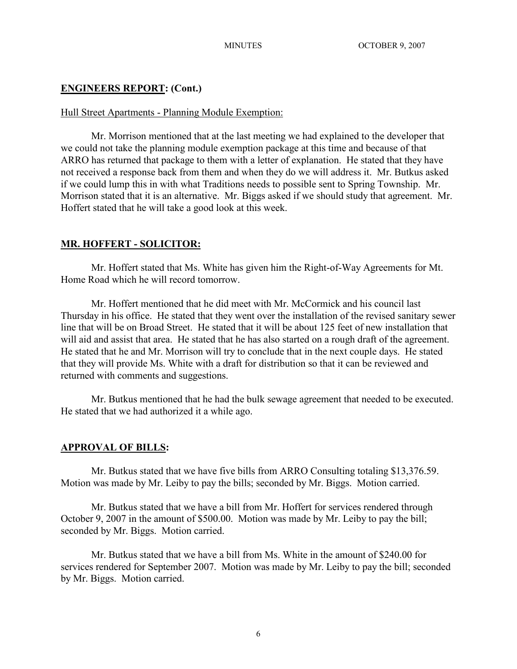## **ENGINEERS REPORT: (Cont.)**

## Hull Street Apartments - Planning Module Exemption:

Mr. Morrison mentioned that at the last meeting we had explained to the developer that we could not take the planning module exemption package at this time and because of that ARRO has returned that package to them with a letter of explanation. He stated that they have not received a response back from them and when they do we will address it. Mr. Butkus asked if we could lump this in with what Traditions needs to possible sent to Spring Township. Mr. Morrison stated that it is an alternative. Mr. Biggs asked if we should study that agreement. Mr. Hoffert stated that he will take a good look at this week.

## **MR. HOFFERT - SOLICITOR:**

Mr. Hoffert stated that Ms. White has given him the Right-of-Way Agreements for Mt. Home Road which he will record tomorrow.

Mr. Hoffert mentioned that he did meet with Mr. McCormick and his council last Thursday in his office. He stated that they went over the installation of the revised sanitary sewer line that will be on Broad Street. He stated that it will be about 125 feet of new installation that will aid and assist that area. He stated that he has also started on a rough draft of the agreement. He stated that he and Mr. Morrison will try to conclude that in the next couple days. He stated that they will provide Ms. White with a draft for distribution so that it can be reviewed and returned with comments and suggestions.

Mr. Butkus mentioned that he had the bulk sewage agreement that needed to be executed. He stated that we had authorized it a while ago.

## **APPROVAL OF BILLS:**

Mr. Butkus stated that we have five bills from ARRO Consulting totaling \$13,376.59. Motion was made by Mr. Leiby to pay the bills; seconded by Mr. Biggs. Motion carried.

Mr. Butkus stated that we have a bill from Mr. Hoffert for services rendered through October 9, 2007 in the amount of \$500.00. Motion was made by Mr. Leiby to pay the bill; seconded by Mr. Biggs. Motion carried.

Mr. Butkus stated that we have a bill from Ms. White in the amount of \$240.00 for services rendered for September 2007. Motion was made by Mr. Leiby to pay the bill; seconded by Mr. Biggs. Motion carried.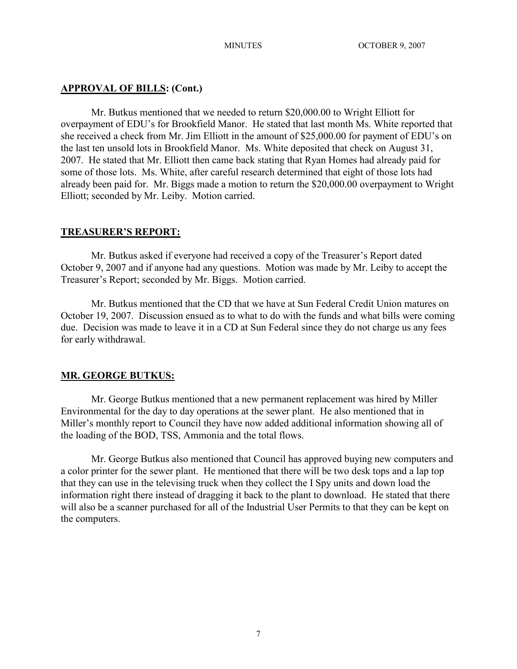## **APPROVAL OF BILLS: (Cont.)**

Mr. Butkus mentioned that we needed to return \$20,000.00 to Wright Elliott for overpayment of EDU's for Brookfield Manor. He stated that last month Ms. White reported that she received a check from Mr. Jim Elliott in the amount of \$25,000.00 for payment of EDU's on the last ten unsold lots in Brookfield Manor. Ms. White deposited that check on August 31, 2007. He stated that Mr. Elliott then came back stating that Ryan Homes had already paid for some of those lots. Ms. White, after careful research determined that eight of those lots had already been paid for. Mr. Biggs made a motion to return the \$20,000.00 overpayment to Wright Elliott; seconded by Mr. Leiby. Motion carried.

#### **TREASURER'S REPORT:**

Mr. Butkus asked if everyone had received a copy of the Treasurer's Report dated October 9, 2007 and if anyone had any questions. Motion was made by Mr. Leiby to accept the Treasurer's Report; seconded by Mr. Biggs. Motion carried.

Mr. Butkus mentioned that the CD that we have at Sun Federal Credit Union matures on October 19, 2007. Discussion ensued as to what to do with the funds and what bills were coming due. Decision was made to leave it in a CD at Sun Federal since they do not charge us any fees for early withdrawal.

### **MR. GEORGE BUTKUS:**

Mr. George Butkus mentioned that a new permanent replacement was hired by Miller Environmental for the day to day operations at the sewer plant. He also mentioned that in Miller's monthly report to Council they have now added additional information showing all of the loading of the BOD, TSS, Ammonia and the total flows.

Mr. George Butkus also mentioned that Council has approved buying new computers and a color printer for the sewer plant. He mentioned that there will be two desk tops and a lap top that they can use in the televising truck when they collect the I Spy units and down load the information right there instead of dragging it back to the plant to download. He stated that there will also be a scanner purchased for all of the Industrial User Permits to that they can be kept on the computers.